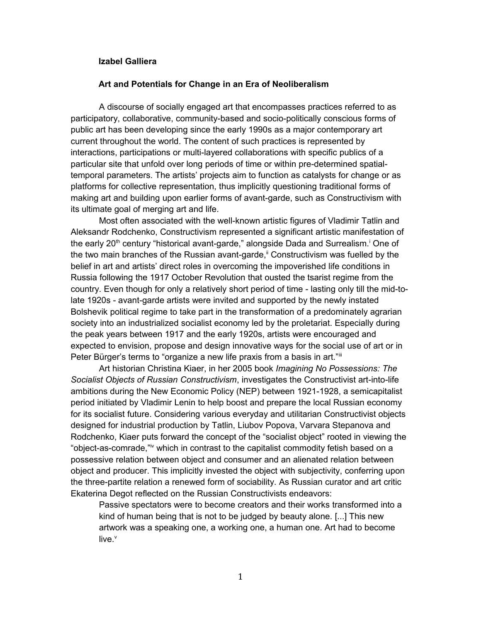## **Izabel Galliera**

## **Art and Potentials for Change in an Era of Neoliberalism**

A discourse of socially engaged art that encompasses practices referred to as participatory, collaborative, community-based and socio-politically conscious forms of public art has been developing since the early 1990s as a major contemporary art current throughout the world. The content of such practices is represented by interactions, participations or multi-layered collaborations with specific publics of a particular site that unfold over long periods of time or within pre-determined spatialtemporal parameters. The artists' projects aim to function as catalysts for change or as platforms for collective representation, thus implicitly questioning traditional forms of making art and building upon earlier forms of avant-garde, such as Constructivism with its ultimate goal of merging art and life.

Most often associated with the well-known artistic figures of Vladimir Tatlin and Aleksandr Rodchenko, Constructivism represented a significant artistic manifestation of the early 20<sup>th</sup> century "historical avant-garde," alongside Dada and Surrealism.<sup>i</sup> One of the two main branches of the Russian avant-garde, $\mathbf{u}$  Constructivism was fuelled by the belief in art and artists' direct roles in overcoming the impoverished life conditions in Russia following the 1917 October Revolution that ousted the tsarist regime from the country. Even though for only a relatively short period of time - lasting only till the mid-tolate 1920s - avant-garde artists were invited and supported by the newly instated Bolshevik political regime to take part in the transformation of a predominately agrarian society into an industrialized socialist economy led by the proletariat. Especially during the peak years between 1917 and the early 1920s, artists were encouraged and expected to envision, propose and design innovative ways for the social use of art or in Peter Bürger's terms to "organize a new life praxis from a basis in art."iii

Art historian Christina Kiaer, in her 2005 book *Imagining No Possessions: The Socialist Objects of Russian Constructivism*, investigates the Constructivist art-into-life ambitions during the New Economic Policy (NEP) between 1921-1928, a semicapitalist period initiated by Vladimir Lenin to help boost and prepare the local Russian economy for its socialist future. Considering various everyday and utilitarian Constructivist objects designed for industrial production by Tatlin, Liubov Popova, Varvara Stepanova and Rodchenko, Kiaer puts forward the concept of the "socialist object" rooted in viewing the "object-as-comrade,"iv which in contrast to the capitalist commodity fetish based on a possessive relation between object and consumer and an alienated relation between object and producer. This implicitly invested the object with subjectivity, conferring upon the three-partite relation a renewed form of sociability. As Russian curator and art critic Ekaterina Degot reflected on the Russian Constructivists endeavors:

Passive spectators were to become creators and their works transformed into a kind of human being that is not to be judged by beauty alone. [...] This new artwork was a speaking one, a working one, a human one. Art had to become live. $^{\mathsf{v}}$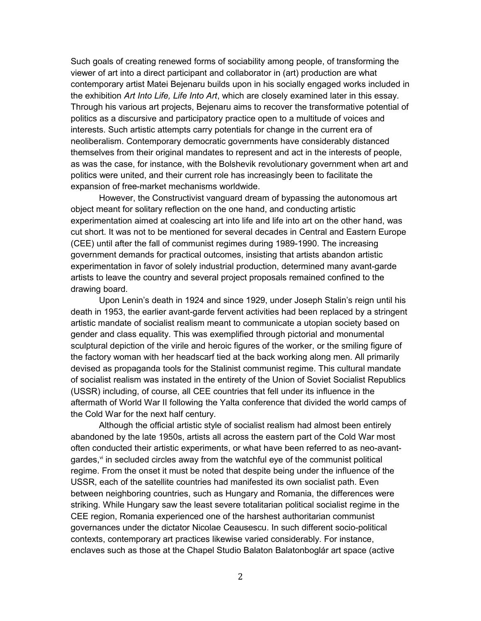Such goals of creating renewed forms of sociability among people, of transforming the viewer of art into a direct participant and collaborator in (art) production are what contemporary artist Matei Bejenaru builds upon in his socially engaged works included in the exhibition *Art Into Life, Life Into Art*, which are closely examined later in this essay. Through his various art projects, Bejenaru aims to recover the transformative potential of politics as a discursive and participatory practice open to a multitude of voices and interests. Such artistic attempts carry potentials for change in the current era of neoliberalism. Contemporary democratic governments have considerably distanced themselves from their original mandates to represent and act in the interests of people, as was the case, for instance, with the Bolshevik revolutionary government when art and politics were united, and their current role has increasingly been to facilitate the expansion of free-market mechanisms worldwide.

However, the Constructivist vanguard dream of bypassing the autonomous art object meant for solitary reflection on the one hand, and conducting artistic experimentation aimed at coalescing art into life and life into art on the other hand, was cut short. It was not to be mentioned for several decades in Central and Eastern Europe (CEE) until after the fall of communist regimes during 1989-1990. The increasing government demands for practical outcomes, insisting that artists abandon artistic experimentation in favor of solely industrial production, determined many avant-garde artists to leave the country and several project proposals remained confined to the drawing board.

Upon Lenin's death in 1924 and since 1929, under Joseph Stalin's reign until his death in 1953, the earlier avant-garde fervent activities had been replaced by a stringent artistic mandate of socialist realism meant to communicate a utopian society based on gender and class equality. This was exemplified through pictorial and monumental sculptural depiction of the virile and heroic figures of the worker, or the smiling figure of the factory woman with her headscarf tied at the back working along men. All primarily devised as propaganda tools for the Stalinist communist regime. This cultural mandate of socialist realism was instated in the entirety of the Union of Soviet Socialist Republics (USSR) including, of course, all CEE countries that fell under its influence in the aftermath of World War II following the Yalta conference that divided the world camps of the Cold War for the next half century.

Although the official artistic style of socialist realism had almost been entirely abandoned by the late 1950s, artists all across the eastern part of the Cold War most often conducted their artistic experiments, or what have been referred to as neo-avantgardes, $\mathbb{V}$  in secluded circles away from the watchful eye of the communist political regime. From the onset it must be noted that despite being under the influence of the USSR, each of the satellite countries had manifested its own socialist path. Even between neighboring countries, such as Hungary and Romania, the differences were striking. While Hungary saw the least severe totalitarian political socialist regime in the CEE region, Romania experienced one of the harshest authoritarian communist governances under the dictator Nicolae Ceausescu. In such different socio-political contexts, contemporary art practices likewise varied considerably. For instance, enclaves such as those at the Chapel Studio Balaton Balatonboglár art space (active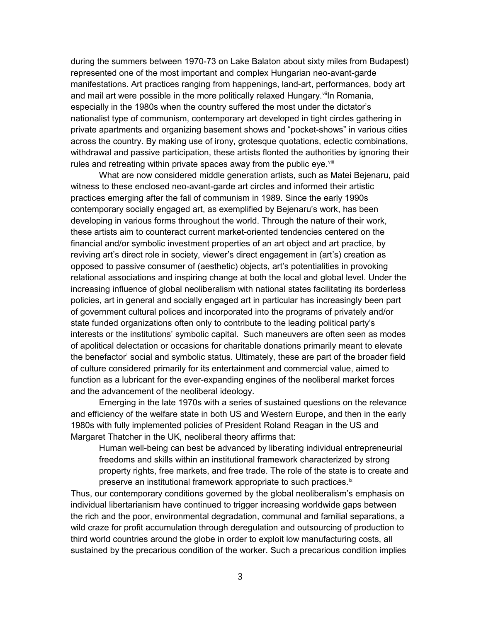during the summers between 1970-73 on Lake Balaton about sixty miles from Budapest) represented one of the most important and complex Hungarian neo-avant-garde manifestations. Art practices ranging from happenings, land-art, performances, body art and mail art were possible in the more politically relaxed Hungary.<sup>vii</sup>ln Romania, especially in the 1980s when the country suffered the most under the dictator's nationalist type of communism, contemporary art developed in tight circles gathering in private apartments and organizing basement shows and "pocket-shows" in various cities across the country. By making use of irony, grotesque quotations, eclectic combinations, withdrawal and passive participation, these artists flonted the authorities by ignoring their rules and retreating within private spaces away from the public eye. $\frac{1}{10}$ 

What are now considered middle generation artists, such as Matei Bejenaru, paid witness to these enclosed neo-avant-garde art circles and informed their artistic practices emerging after the fall of communism in 1989. Since the early 1990s contemporary socially engaged art, as exemplified by Bejenaru's work, has been developing in various forms throughout the world. Through the nature of their work, these artists aim to counteract current market-oriented tendencies centered on the financial and/or symbolic investment properties of an art object and art practice, by reviving art's direct role in society, viewer's direct engagement in (art's) creation as opposed to passive consumer of (aesthetic) objects, art's potentialities in provoking relational associations and inspiring change at both the local and global level. Under the increasing influence of global neoliberalism with national states facilitating its borderless policies, art in general and socially engaged art in particular has increasingly been part of government cultural polices and incorporated into the programs of privately and/or state funded organizations often only to contribute to the leading political party's interests or the institutions' symbolic capital. Such maneuvers are often seen as modes of apolitical delectation or occasions for charitable donations primarily meant to elevate the benefactor' social and symbolic status. Ultimately, these are part of the broader field of culture considered primarily for its entertainment and commercial value, aimed to function as a lubricant for the ever-expanding engines of the neoliberal market forces and the advancement of the neoliberal ideology.

Emerging in the late 1970s with a series of sustained questions on the relevance and efficiency of the welfare state in both US and Western Europe, and then in the early 1980s with fully implemented policies of President Roland Reagan in the US and Margaret Thatcher in the UK, neoliberal theory affirms that:

Human well-being can best be advanced by liberating individual entrepreneurial freedoms and skills within an institutional framework characterized by strong property rights, free markets, and free trade. The role of the state is to create and preserve an institutional framework appropriate to such practices.<sup>ix</sup>

Thus, our contemporary conditions governed by the global neoliberalism's emphasis on individual libertarianism have continued to trigger increasing worldwide gaps between the rich and the poor, environmental degradation, communal and familial separations, a wild craze for profit accumulation through deregulation and outsourcing of production to third world countries around the globe in order to exploit low manufacturing costs, all sustained by the precarious condition of the worker. Such a precarious condition implies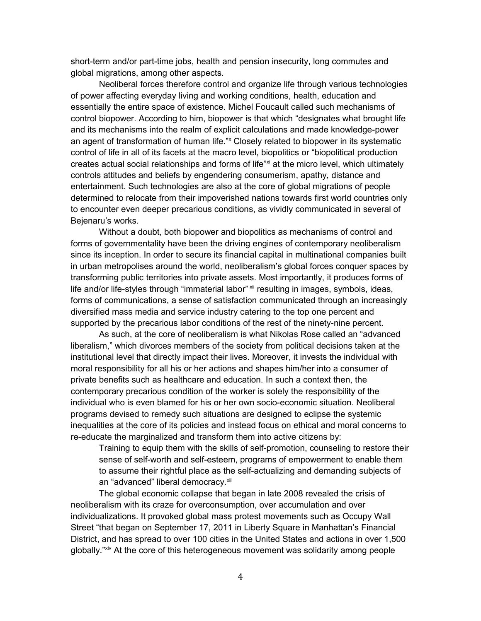short-term and/or part-time jobs, health and pension insecurity, long commutes and global migrations, among other aspects.

Neoliberal forces therefore control and organize life through various technologies of power affecting everyday living and working conditions, health, education and essentially the entire space of existence. Michel Foucault called such mechanisms of control biopower. According to him, biopower is that which "designates what brought life and its mechanisms into the realm of explicit calculations and made knowledge-power an agent of transformation of human life."<sup>x</sup> Closely related to biopower in its systematic control of life in all of its facets at the macro level, biopolitics or "biopolitical production creates actual social relationships and forms of life"xi at the micro level, which ultimately controls attitudes and beliefs by engendering consumerism, apathy, distance and entertainment. Such technologies are also at the core of global migrations of people determined to relocate from their impoverished nations towards first world countries only to encounter even deeper precarious conditions, as vividly communicated in several of Bejenaru's works.

Without a doubt, both biopower and biopolitics as mechanisms of control and forms of governmentality have been the driving engines of contemporary neoliberalism since its inception. In order to secure its financial capital in multinational companies built in urban metropolises around the world, neoliberalism's global forces conquer spaces by transforming public territories into private assets. Most importantly, it produces forms of life and/or life-styles through "immaterial labor" xii resulting in images, symbols, ideas, forms of communications, a sense of satisfaction communicated through an increasingly diversified mass media and service industry catering to the top one percent and supported by the precarious labor conditions of the rest of the ninety-nine percent.

As such, at the core of neoliberalism is what Nikolas Rose called an "advanced liberalism," which divorces members of the society from political decisions taken at the institutional level that directly impact their lives. Moreover, it invests the individual with moral responsibility for all his or her actions and shapes him/her into a consumer of private benefits such as healthcare and education. In such a context then, the contemporary precarious condition of the worker is solely the responsibility of the individual who is even blamed for his or her own socio-economic situation. Neoliberal programs devised to remedy such situations are designed to eclipse the systemic inequalities at the core of its policies and instead focus on ethical and moral concerns to re-educate the marginalized and transform them into active citizens by:

Training to equip them with the skills of self-promotion, counseling to restore their sense of self-worth and self-esteem, programs of empowerment to enable them to assume their rightful place as the self-actualizing and demanding subjects of an "advanced" liberal democracy. xiii

The global economic collapse that began in late 2008 revealed the crisis of neoliberalism with its craze for overconsumption, over accumulation and over individualizations. It provoked global mass protest movements such as Occupy Wall Street "that began on September 17, 2011 in Liberty Square in Manhattan's Financial District, and has spread to over 100 cities in the United States and actions in over 1,500 globally."xiv At the core of this heterogeneous movement was solidarity among people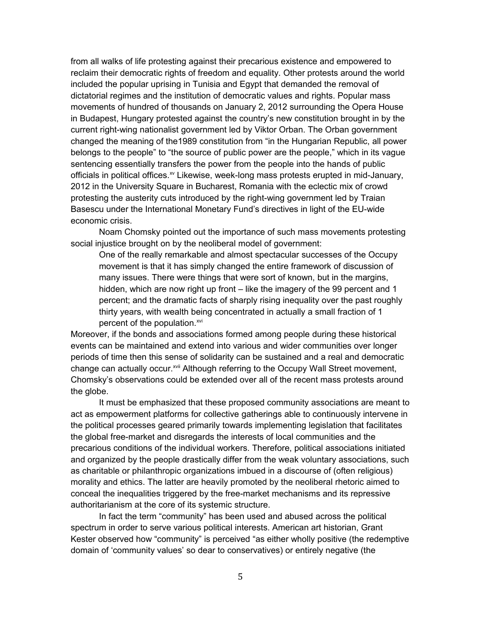from all walks of life protesting against their precarious existence and empowered to reclaim their democratic rights of freedom and equality. Other protests around the world included the popular uprising in Tunisia and Egypt that demanded the removal of dictatorial regimes and the institution of democratic values and rights. Popular mass movements of hundred of thousands on January 2, 2012 surrounding the Opera House in Budapest, Hungary protested against the country's new constitution brought in by the current right-wing nationalist government led by Viktor Orban. The Orban government changed the meaning of the1989 constitution from "in the Hungarian Republic, all power belongs to the people" to "the source of public power are the people," which in its vague sentencing essentially transfers the power from the people into the hands of public officials in political offices.<sup>xv</sup> Likewise, week-long mass protests erupted in mid-January, 2012 in the University Square in Bucharest, Romania with the eclectic mix of crowd protesting the austerity cuts introduced by the right-wing government led by Traian Basescu under the International Monetary Fund's directives in light of the EU-wide economic crisis.

Noam Chomsky pointed out the importance of such mass movements protesting social injustice brought on by the neoliberal model of government:

One of the really remarkable and almost spectacular successes of the Occupy movement is that it has simply changed the entire framework of discussion of many issues. There were things that were sort of known, but in the margins, hidden, which are now right up front – like the imagery of the 99 percent and 1 percent; and the dramatic facts of sharply rising inequality over the past roughly thirty years, with wealth being concentrated in actually a small fraction of 1 percent of the population.<sup>xvi</sup>

Moreover, if the bonds and associations formed among people during these historical events can be maintained and extend into various and wider communities over longer periods of time then this sense of solidarity can be sustained and a real and democratic change can actually occur.<sup>xvii</sup> Although referring to the Occupy Wall Street movement, Chomsky's observations could be extended over all of the recent mass protests around the globe.

It must be emphasized that these proposed community associations are meant to act as empowerment platforms for collective gatherings able to continuously intervene in the political processes geared primarily towards implementing legislation that facilitates the global free-market and disregards the interests of local communities and the precarious conditions of the individual workers. Therefore, political associations initiated and organized by the people drastically differ from the weak voluntary associations, such as charitable or philanthropic organizations imbued in a discourse of (often religious) morality and ethics. The latter are heavily promoted by the neoliberal rhetoric aimed to conceal the inequalities triggered by the free-market mechanisms and its repressive authoritarianism at the core of its systemic structure.

In fact the term "community" has been used and abused across the political spectrum in order to serve various political interests. American art historian, Grant Kester observed how "community" is perceived "as either wholly positive (the redemptive domain of 'community values' so dear to conservatives) or entirely negative (the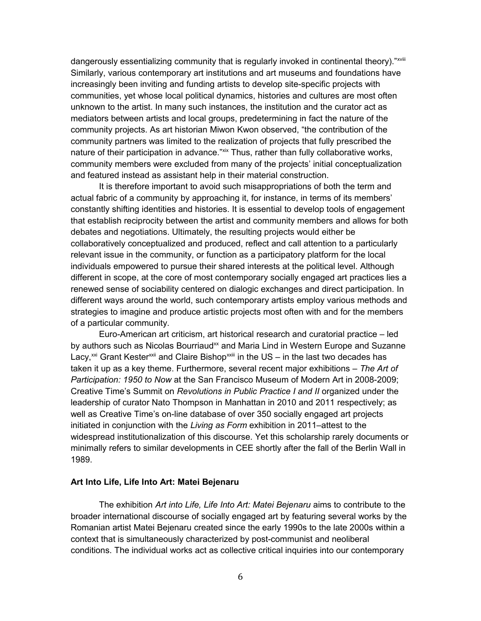dangerously essentializing community that is regularly invoked in continental theory)."xviii Similarly, various contemporary art institutions and art museums and foundations have increasingly been inviting and funding artists to develop site-specific projects with communities, yet whose local political dynamics, histories and cultures are most often unknown to the artist. In many such instances, the institution and the curator act as mediators between artists and local groups, predetermining in fact the nature of the community projects. As art historian Miwon Kwon observed, "the contribution of the community partners was limited to the realization of projects that fully prescribed the nature of their participation in advance."xix Thus, rather than fully collaborative works, community members were excluded from many of the projects' initial conceptualization and featured instead as assistant help in their material construction.

It is therefore important to avoid such misappropriations of both the term and actual fabric of a community by approaching it, for instance, in terms of its members' constantly shifting identities and histories. It is essential to develop tools of engagement that establish reciprocity between the artist and community members and allows for both debates and negotiations. Ultimately, the resulting projects would either be collaboratively conceptualized and produced, reflect and call attention to a particularly relevant issue in the community, or function as a participatory platform for the local individuals empowered to pursue their shared interests at the political level. Although different in scope, at the core of most contemporary socially engaged art practices lies a renewed sense of sociability centered on dialogic exchanges and direct participation. In different ways around the world, such contemporary artists employ various methods and strategies to imagine and produce artistic projects most often with and for the members of a particular community.

Euro-American art criticism, art historical research and curatorial practice – led by authors such as Nicolas Bourriaud<sup>xx</sup> and Maria Lind in Western Europe and Suzanne Lacy,<sup>xxi</sup> Grant Kester<sup>xxii</sup> and Claire Bishop<sup>xxiii</sup> in the US – in the last two decades has taken it up as a key theme. Furthermore, several recent major exhibitions – *The Art of Participation: 1950 to Now* at the San Francisco Museum of Modern Art in 2008-2009; Creative Time's Summit on *Revolutions in Public Practice I and II* organized under the leadership of curator Nato Thompson in Manhattan in 2010 and 2011 respectively; as well as Creative Time's on-line database of over 350 socially engaged art projects initiated in conjunction with the *Living as Form* exhibition in 2011–attest to the widespread institutionalization of this discourse. Yet this scholarship rarely documents or minimally refers to similar developments in CEE shortly after the fall of the Berlin Wall in 1989.

## **Art Into Life, Life Into Art: Matei Bejenaru**

The exhibition *Art into Life, Life Into Art: Matei Bejenaru* aims to contribute to the broader international discourse of socially engaged art by featuring several works by the Romanian artist Matei Bejenaru created since the early 1990s to the late 2000s within a context that is simultaneously characterized by post-communist and neoliberal conditions. The individual works act as collective critical inquiries into our contemporary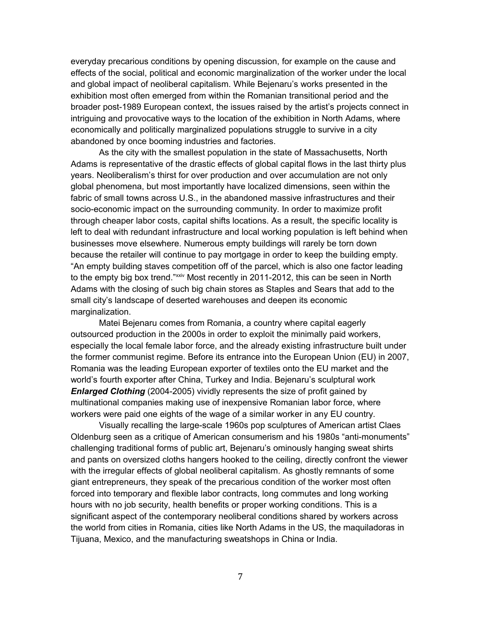everyday precarious conditions by opening discussion, for example on the cause and effects of the social, political and economic marginalization of the worker under the local and global impact of neoliberal capitalism. While Bejenaru's works presented in the exhibition most often emerged from within the Romanian transitional period and the broader post-1989 European context, the issues raised by the artist's projects connect in intriguing and provocative ways to the location of the exhibition in North Adams, where economically and politically marginalized populations struggle to survive in a city abandoned by once booming industries and factories.

As the city with the smallest population in the state of Massachusetts, North Adams is representative of the drastic effects of global capital flows in the last thirty plus years. Neoliberalism's thirst for over production and over accumulation are not only global phenomena, but most importantly have localized dimensions, seen within the fabric of small towns across U.S., in the abandoned massive infrastructures and their socio-economic impact on the surrounding community. In order to maximize profit through cheaper labor costs, capital shifts locations. As a result, the specific locality is left to deal with redundant infrastructure and local working population is left behind when businesses move elsewhere. Numerous empty buildings will rarely be torn down because the retailer will continue to pay mortgage in order to keep the building empty. "An empty building staves competition off of the parcel, which is also one factor leading to the empty big box trend."<sup>xxiv</sup> Most recently in 2011-2012, this can be seen in North Adams with the closing of such big chain stores as Staples and Sears that add to the small city's landscape of deserted warehouses and deepen its economic marginalization.

Matei Bejenaru comes from Romania, a country where capital eagerly outsourced production in the 2000s in order to exploit the minimally paid workers, especially the local female labor force, and the already existing infrastructure built under the former communist regime. Before its entrance into the European Union (EU) in 2007, Romania was the leading European exporter of textiles onto the EU market and the world's fourth exporter after China, Turkey and India. Bejenaru's sculptural work *Enlarged Clothing* (2004-2005) vividly represents the size of profit gained by multinational companies making use of inexpensive Romanian labor force, where workers were paid one eights of the wage of a similar worker in any EU country.

Visually recalling the large-scale 1960s pop sculptures of American artist Claes Oldenburg seen as a critique of American consumerism and his 1980s "anti-monuments" challenging traditional forms of public art, Bejenaru's ominously hanging sweat shirts and pants on oversized cloths hangers hooked to the ceiling, directly confront the viewer with the irregular effects of global neoliberal capitalism. As ghostly remnants of some giant entrepreneurs, they speak of the precarious condition of the worker most often forced into temporary and flexible labor contracts, long commutes and long working hours with no job security, health benefits or proper working conditions. This is a significant aspect of the contemporary neoliberal conditions shared by workers across the world from cities in Romania, cities like North Adams in the US, the maquiladoras in Tijuana, Mexico, and the manufacturing sweatshops in China or India.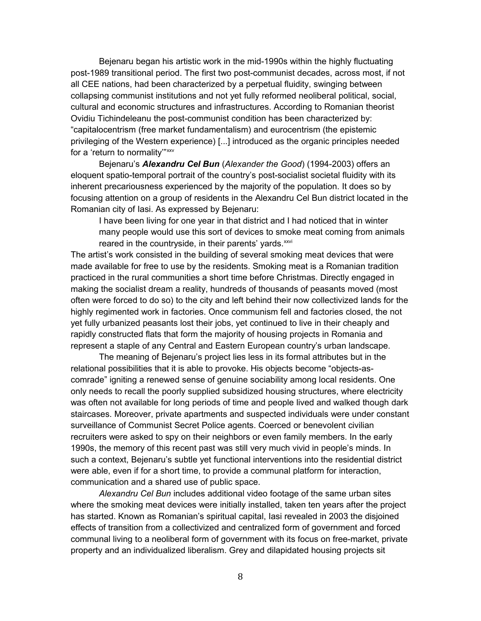Bejenaru began his artistic work in the mid-1990s within the highly fluctuating post-1989 transitional period. The first two post-communist decades, across most, if not all CEE nations, had been characterized by a perpetual fluidity, swinging between collapsing communist institutions and not yet fully reformed neoliberal political, social, cultural and economic structures and infrastructures. According to Romanian theorist Ovidiu Tichindeleanu the post-communist condition has been characterized by: "capitalocentrism (free market fundamentalism) and eurocentrism (the epistemic privileging of the Western experience) [...] introduced as the organic principles needed for a 'return to normality'"<sup>xxv</sup>

Bejenaru's *Alexandru Cel Bun* (*Alexander the Good*) (1994-2003) offers an eloquent spatio-temporal portrait of the country's post-socialist societal fluidity with its inherent precariousness experienced by the majority of the population. It does so by focusing attention on a group of residents in the Alexandru Cel Bun district located in the Romanian city of Iasi. As expressed by Bejenaru:

I have been living for one year in that district and I had noticed that in winter many people would use this sort of devices to smoke meat coming from animals reared in the countryside, in their parents' yards.<sup>xxvi</sup>

The artist's work consisted in the building of several smoking meat devices that were made available for free to use by the residents. Smoking meat is a Romanian tradition practiced in the rural communities a short time before Christmas. Directly engaged in making the socialist dream a reality, hundreds of thousands of peasants moved (most often were forced to do so) to the city and left behind their now collectivized lands for the highly regimented work in factories. Once communism fell and factories closed, the not yet fully urbanized peasants lost their jobs, yet continued to live in their cheaply and rapidly constructed flats that form the majority of housing projects in Romania and represent a staple of any Central and Eastern European country's urban landscape.

The meaning of Bejenaru's project lies less in its formal attributes but in the relational possibilities that it is able to provoke. His objects become "objects-ascomrade" igniting a renewed sense of genuine sociability among local residents. One only needs to recall the poorly supplied subsidized housing structures, where electricity was often not available for long periods of time and people lived and walked though dark staircases. Moreover, private apartments and suspected individuals were under constant surveillance of Communist Secret Police agents. Coerced or benevolent civilian recruiters were asked to spy on their neighbors or even family members. In the early 1990s, the memory of this recent past was still very much vivid in people's minds. In such a context, Bejenaru's subtle yet functional interventions into the residential district were able, even if for a short time, to provide a communal platform for interaction, communication and a shared use of public space.

*Alexandru Cel Bun* includes additional video footage of the same urban sites where the smoking meat devices were initially installed, taken ten years after the project has started. Known as Romanian's spiritual capital, Iasi revealed in 2003 the disjoined effects of transition from a collectivized and centralized form of government and forced communal living to a neoliberal form of government with its focus on free-market, private property and an individualized liberalism. Grey and dilapidated housing projects sit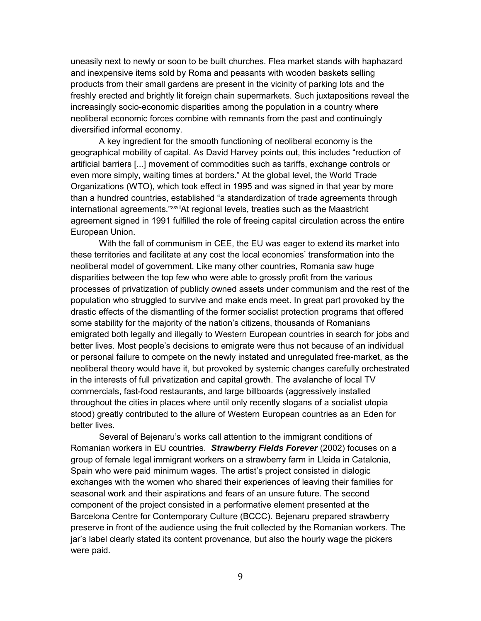uneasily next to newly or soon to be built churches. Flea market stands with haphazard and inexpensive items sold by Roma and peasants with wooden baskets selling products from their small gardens are present in the vicinity of parking lots and the freshly erected and brightly lit foreign chain supermarkets. Such juxtapositions reveal the increasingly socio-economic disparities among the population in a country where neoliberal economic forces combine with remnants from the past and continuingly diversified informal economy.

A key ingredient for the smooth functioning of neoliberal economy is the geographical mobility of capital. As David Harvey points out, this includes "reduction of artificial barriers [...] movement of commodities such as tariffs, exchange controls or even more simply, waiting times at borders." At the global level, the World Trade Organizations (WTO), which took effect in 1995 and was signed in that year by more than a hundred countries, established "a standardization of trade agreements through international agreements."xxviiAt regional levels, treaties such as the Maastricht agreement signed in 1991 fulfilled the role of freeing capital circulation across the entire European Union.

With the fall of communism in CEE, the EU was eager to extend its market into these territories and facilitate at any cost the local economies' transformation into the neoliberal model of government. Like many other countries, Romania saw huge disparities between the top few who were able to grossly profit from the various processes of privatization of publicly owned assets under communism and the rest of the population who struggled to survive and make ends meet. In great part provoked by the drastic effects of the dismantling of the former socialist protection programs that offered some stability for the majority of the nation's citizens, thousands of Romanians emigrated both legally and illegally to Western European countries in search for jobs and better lives. Most people's decisions to emigrate were thus not because of an individual or personal failure to compete on the newly instated and unregulated free-market, as the neoliberal theory would have it, but provoked by systemic changes carefully orchestrated in the interests of full privatization and capital growth. The avalanche of local TV commercials, fast-food restaurants, and large billboards (aggressively installed throughout the cities in places where until only recently slogans of a socialist utopia stood) greatly contributed to the allure of Western European countries as an Eden for better lives.

Several of Bejenaru's works call attention to the immigrant conditions of Romanian workers in EU countries. *Strawberry Fields Forever* (2002) focuses on a group of female legal immigrant workers on a strawberry farm in Lleida in Catalonia, Spain who were paid minimum wages. The artist's project consisted in dialogic exchanges with the women who shared their experiences of leaving their families for seasonal work and their aspirations and fears of an unsure future. The second component of the project consisted in a performative element presented at the Barcelona Centre for Contemporary Culture (BCCC). Bejenaru prepared strawberry preserve in front of the audience using the fruit collected by the Romanian workers. The jar's label clearly stated its content provenance, but also the hourly wage the pickers were paid.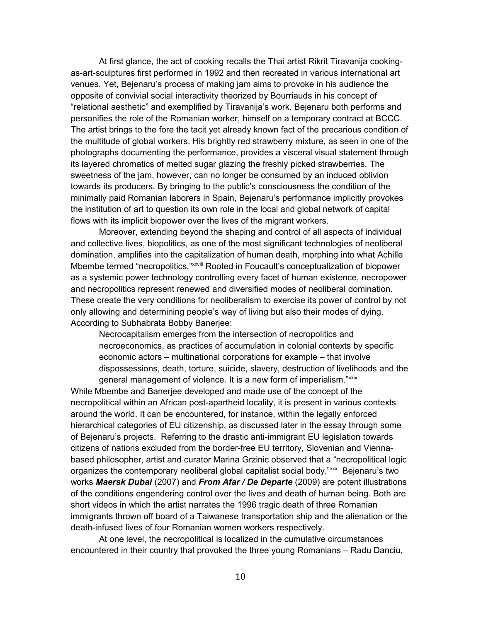At first glance, the act of cooking recalls the Thai artist Rikrit Tiravanija cookingas-art-sculptures first performed in 1992 and then recreated in various international art venues. Yet, Bejenaru's process of making jam aims to provoke in his audience the opposite of convivial social interactivity theorized by Bourriauds in his concept of "relational aesthetic" and exemplified by Tiravanija's work. Bejenaru both performs and personifies the role of the Romanian worker, himself on a temporary contract at BCCC. The artist brings to the fore the tacit yet already known fact of the precarious condition of the multitude of global workers. His brightly red strawberry mixture, as seen in one of the photographs documenting the performance, provides a visceral visual statement through its layered chromatics of melted sugar glazing the freshly picked strawberries. The sweetness of the jam, however, can no longer be consumed by an induced oblivion towards its producers. By bringing to the public's consciousness the condition of the minimally paid Romanian laborers in Spain, Bejenaru's performance implicitly provokes the institution of art to question its own role in the local and global network of capital flows with its implicit biopower over the lives of the migrant workers.

Moreover, extending beyond the shaping and control of all aspects of individual and collective lives, biopolitics, as one of the most significant technologies of neoliberal domination, amplifies into the capitalization of human death, morphing into what Achille Mbembe termed "necropolitics."<sup>xxviii</sup> Rooted in Foucault's conceptualization of biopower as a systemic power technology controlling every facet of human existence, necropower and necropolitics represent renewed and diversified modes of neoliberal domination. These create the very conditions for neoliberalism to exercise its power of control by not only allowing and determining people's way of living but also their modes of dying. According to Subhabrata Bobby Banerjee:

Necrocapitalism emerges from the intersection of necropolitics and necroeconomics, as practices of accumulation in colonial contexts by specific economic actors – multinational corporations for example – that involve dispossessions, death, torture, suicide, slavery, destruction of livelihoods and the general management of violence. It is a new form of imperialism."xxix

While Mbembe and Banerjee developed and made use of the concept of the necropolitical within an African post-apartheid locality, it is present in various contexts around the world. It can be encountered, for instance, within the legally enforced hierarchical categories of EU citizenship, as discussed later in the essay through some of Bejenaru's projects. Referring to the drastic anti-immigrant EU legislation towards citizens of nations excluded from the border-free EU territory, Slovenian and Viennabased philosopher, artist and curator Marina Grzinic observed that a "necropolitical logic organizes the contemporary neoliberal global capitalist social body."xxx Bejenaru's two works *Maersk Dubai* (2007) and *From Afar / De Departe* (2009) are potent illustrations of the conditions engendering control over the lives and death of human being. Both are short videos in which the artist narrates the 1996 tragic death of three Romanian immigrants thrown off board of a Taiwanese transportation ship and the alienation or the death-infused lives of four Romanian women workers respectively.

At one level, the necropolitical is localized in the cumulative circumstances encountered in their country that provoked the three young Romanians – Radu Danciu,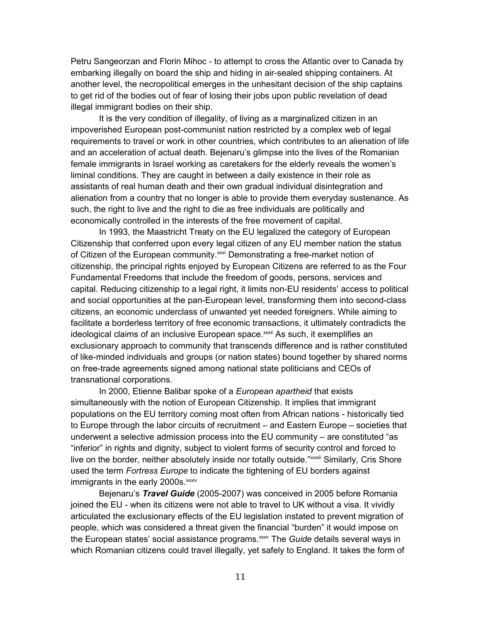Petru Sangeorzan and Florin Mihoc - to attempt to cross the Atlantic over to Canada by embarking illegally on board the ship and hiding in air-sealed shipping containers. At another level, the necropolitical emerges in the unhesitant decision of the ship captains to get rid of the bodies out of fear of losing their jobs upon public revelation of dead illegal immigrant bodies on their ship.

It is the very condition of illegality, of living as a marginalized citizen in an impoverished European post-communist nation restricted by a complex web of legal requirements to travel or work in other countries, which contributes to an alienation of life and an acceleration of actual death. Bejenaru's glimpse into the lives of the Romanian female immigrants in Israel working as caretakers for the elderly reveals the women's liminal conditions. They are caught in between a daily existence in their role as assistants of real human death and their own gradual individual disintegration and alienation from a country that no longer is able to provide them everyday sustenance. As such, the right to live and the right to die as free individuals are politically and economically controlled in the interests of the free movement of capital.

In 1993, the Maastricht Treaty on the EU legalized the category of European Citizenship that conferred upon every legal citizen of any EU member nation the status of Citizen of the European community.<sup>xxxi</sup> Demonstrating a free-market notion of citizenship, the principal rights enjoyed by European Citizens are referred to as the Four Fundamental Freedoms that include the freedom of goods, persons, services and capital. Reducing citizenship to a legal right, it limits non-EU residents' access to political and social opportunities at the pan-European level, transforming them into second-class citizens, an economic underclass of unwanted yet needed foreigners. While aiming to facilitate a borderless territory of free economic transactions, it ultimately contradicts the ideological claims of an inclusive European space.<sup>xxii</sup> As such, it exemplifies an exclusionary approach to community that transcends difference and is rather constituted of like-minded individuals and groups (or nation states) bound together by shared norms on free-trade agreements signed among national state politicians and CEOs of transnational corporations.

In 2000, Etienne Balibar spoke of a *European apartheid* that exists simultaneously with the notion of European Citizenship. It implies that immigrant populations on the EU territory coming most often from African nations - historically tied to Europe through the labor circuits of recruitment – and Eastern Europe – societies that underwent a selective admission process into the EU community – are constituted "as "inferior" in rights and dignity, subject to violent forms of security control and forced to live on the border, neither absolutely inside nor totally outside."<sup>xxxiii</sup> Similarly, Cris Shore used the term *Fortress Europe* to indicate the tightening of EU borders against immigrants in the early 2000s.<sup>xxxiv</sup>

Bejenaru's *Travel Guide* (2005-2007) was conceived in 2005 before Romania joined the EU - when its citizens were not able to travel to UK without a visa. It vividly articulated the exclusionary effects of the EU legislation instated to prevent migration of people, which was considered a threat given the financial "burden" it would impose on the European states' social assistance programs.<sup>xxxv</sup> The *Guide* details several ways in which Romanian citizens could travel illegally, yet safely to England. It takes the form of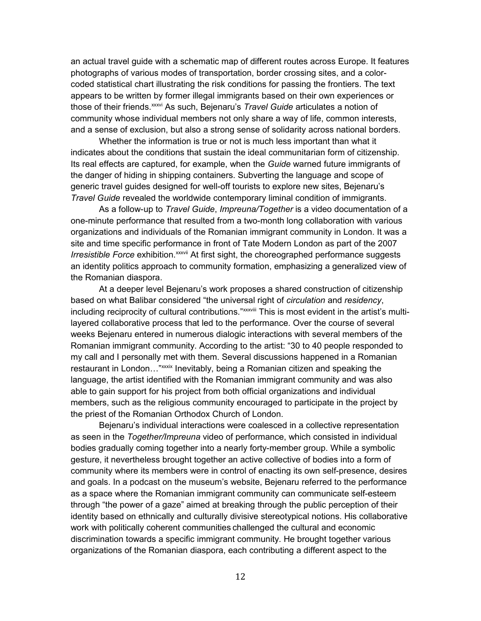an actual travel guide with a schematic map of different routes across Europe. It features photographs of various modes of transportation, border crossing sites, and a colorcoded statistical chart illustrating the risk conditions for passing the frontiers. The text appears to be written by former illegal immigrants based on their own experiences or those of their friends.xxxvi As such, Bejenaru's *Travel Guide* articulates a notion of community whose individual members not only share a way of life, common interests, and a sense of exclusion, but also a strong sense of solidarity across national borders.

Whether the information is true or not is much less important than what it indicates about the conditions that sustain the ideal communitarian form of citizenship. Its real effects are captured, for example, when the *Guide* warned future immigrants of the danger of hiding in shipping containers. Subverting the language and scope of generic travel guides designed for well-off tourists to explore new sites, Bejenaru's *Travel Guide* revealed the worldwide contemporary liminal condition of immigrants.

As a follow-up to *Travel Guide*, *Impreuna/Together* is a video documentation of a one-minute performance that resulted from a two-month long collaboration with various organizations and individuals of the Romanian immigrant community in London. It was a site and time specific performance in front of Tate Modern London as part of the 2007 *Irresistible Force* exhibition.<sup>xxxvii</sup> At first sight, the choreographed performance suggests an identity politics approach to community formation, emphasizing a generalized view of the Romanian diaspora.

At a deeper level Bejenaru's work proposes a shared construction of citizenship based on what Balibar considered "the universal right of *circulation* and *residency*, including reciprocity of cultural contributions."<sup>xxxviii</sup> This is most evident in the artist's multilayered collaborative process that led to the performance. Over the course of several weeks Bejenaru entered in numerous dialogic interactions with several members of the Romanian immigrant community. According to the artist: "30 to 40 people responded to my call and I personally met with them. Several discussions happened in a Romanian restaurant in London..."xxxix Inevitably, being a Romanian citizen and speaking the language, the artist identified with the Romanian immigrant community and was also able to gain support for his project from both official organizations and individual members, such as the religious community encouraged to participate in the project by the priest of the Romanian Orthodox Church of London.

Bejenaru's individual interactions were coalesced in a collective representation as seen in the *Together/Impreuna* video of performance, which consisted in individual bodies gradually coming together into a nearly forty-member group. While a symbolic gesture, it nevertheless brought together an active collective of bodies into a form of community where its members were in control of enacting its own self-presence, desires and goals. In a podcast on the museum's website, Bejenaru referred to the performance as a space where the Romanian immigrant community can communicate self-esteem through "the power of a gaze" aimed at breaking through the public perception of their identity based on ethnically and culturally divisive stereotypical notions. His collaborative work with politically coherent communities challenged the cultural and economic discrimination towards a specific immigrant community. He brought together various organizations of the Romanian diaspora, each contributing a different aspect to the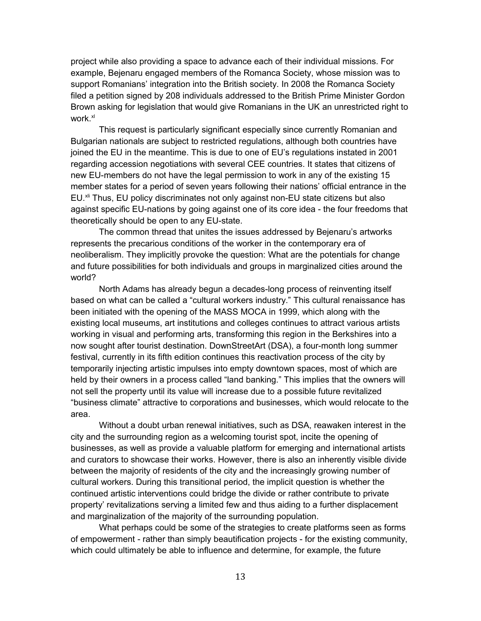project while also providing a space to advance each of their individual missions. For example, Bejenaru engaged members of the Romanca Society, whose mission was to support Romanians' integration into the British society. In 2008 the Romanca Society filed a petition signed by 208 individuals addressed to the British Prime Minister Gordon Brown asking for legislation that would give Romanians in the UK an unrestricted right to work<sup>xl</sup>

This request is particularly significant especially since currently Romanian and Bulgarian nationals are subject to restricted regulations, although both countries have joined the EU in the meantime. This is due to one of EU's regulations instated in 2001 regarding accession negotiations with several CEE countries. It states that citizens of new EU-members do not have the legal permission to work in any of the existing 15 member states for a period of seven years following their nations' official entrance in the EU.<sup>xi</sup> Thus, EU policy discriminates not only against non-EU state citizens but also against specific EU-nations by going against one of its core idea - the four freedoms that theoretically should be open to any EU-state.

The common thread that unites the issues addressed by Bejenaru's artworks represents the precarious conditions of the worker in the contemporary era of neoliberalism. They implicitly provoke the question: What are the potentials for change and future possibilities for both individuals and groups in marginalized cities around the world?

North Adams has already begun a decades-long process of reinventing itself based on what can be called a "cultural workers industry." This cultural renaissance has been initiated with the opening of the MASS MOCA in 1999, which along with the existing local museums, art institutions and colleges continues to attract various artists working in visual and performing arts, transforming this region in the Berkshires into a now sought after tourist destination. DownStreetArt (DSA), a four-month long summer festival, currently in its fifth edition continues this reactivation process of the city by temporarily injecting artistic impulses into empty downtown spaces, most of which are held by their owners in a process called "land banking." This implies that the owners will not sell the property until its value will increase due to a possible future revitalized "business climate" attractive to corporations and businesses, which would relocate to the area.

Without a doubt urban renewal initiatives, such as DSA, reawaken interest in the city and the surrounding region as a welcoming tourist spot, incite the opening of businesses, as well as provide a valuable platform for emerging and international artists and curators to showcase their works. However, there is also an inherently visible divide between the majority of residents of the city and the increasingly growing number of cultural workers. During this transitional period, the implicit question is whether the continued artistic interventions could bridge the divide or rather contribute to private property' revitalizations serving a limited few and thus aiding to a further displacement and marginalization of the majority of the surrounding population.

What perhaps could be some of the strategies to create platforms seen as forms of empowerment - rather than simply beautification projects - for the existing community, which could ultimately be able to influence and determine, for example, the future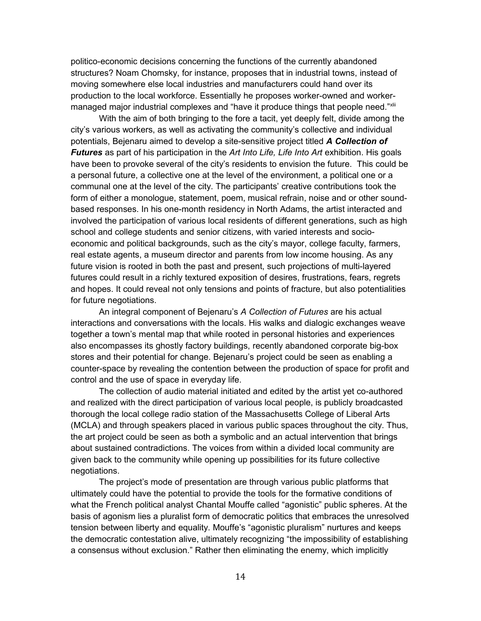politico-economic decisions concerning the functions of the currently abandoned structures? Noam Chomsky, for instance, proposes that in industrial towns, instead of moving somewhere else local industries and manufacturers could hand over its production to the local workforce. Essentially he proposes worker-owned and workermanaged major industrial complexes and "have it produce things that people need."<sup>xlii</sup>

With the aim of both bringing to the fore a tacit, yet deeply felt, divide among the city's various workers, as well as activating the community's collective and individual potentials, Bejenaru aimed to develop a site-sensitive project titled *A Collection of Futures* as part of his participation in the *Art Into Life, Life Into Art* exhibition. His goals have been to provoke several of the city's residents to envision the future. This could be a personal future, a collective one at the level of the environment, a political one or a communal one at the level of the city. The participants' creative contributions took the form of either a monologue, statement, poem, musical refrain, noise and or other soundbased responses. In his one-month residency in North Adams, the artist interacted and involved the participation of various local residents of different generations, such as high school and college students and senior citizens, with varied interests and socioeconomic and political backgrounds, such as the city's mayor, college faculty, farmers, real estate agents, a museum director and parents from low income housing. As any future vision is rooted in both the past and present, such projections of multi-layered futures could result in a richly textured exposition of desires, frustrations, fears, regrets and hopes. It could reveal not only tensions and points of fracture, but also potentialities for future negotiations.

An integral component of Bejenaru's *A Collection of Futures* are his actual interactions and conversations with the locals. His walks and dialogic exchanges weave together a town's mental map that while rooted in personal histories and experiences also encompasses its ghostly factory buildings, recently abandoned corporate big-box stores and their potential for change. Bejenaru's project could be seen as enabling a counter-space by revealing the contention between the production of space for profit and control and the use of space in everyday life.

The collection of audio material initiated and edited by the artist yet co-authored and realized with the direct participation of various local people, is publicly broadcasted thorough the local college radio station of the Massachusetts College of Liberal Arts (MCLA) and through speakers placed in various public spaces throughout the city. Thus, the art project could be seen as both a symbolic and an actual intervention that brings about sustained contradictions. The voices from within a divided local community are given back to the community while opening up possibilities for its future collective negotiations.

The project's mode of presentation are through various public platforms that ultimately could have the potential to provide the tools for the formative conditions of what the French political analyst Chantal Mouffe called "agonistic" public spheres. At the basis of agonism lies a pluralist form of democratic politics that embraces the unresolved tension between liberty and equality. Mouffe's "agonistic pluralism" nurtures and keeps the democratic contestation alive, ultimately recognizing "the impossibility of establishing a consensus without exclusion." Rather then eliminating the enemy, which implicitly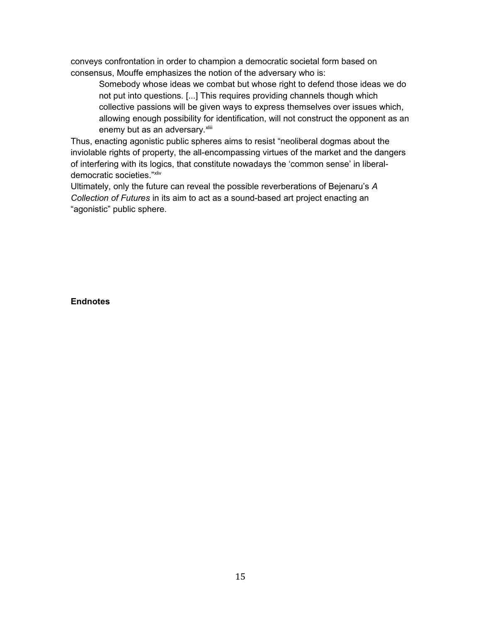conveys confrontation in order to champion a democratic societal form based on consensus, Mouffe emphasizes the notion of the adversary who is:

Somebody whose ideas we combat but whose right to defend those ideas we do not put into questions. [...] This requires providing channels though which collective passions will be given ways to express themselves over issues which, allowing enough possibility for identification, will not construct the opponent as an enemy but as an adversary. xliii

Thus, enacting agonistic public spheres aims to resist "neoliberal dogmas about the inviolable rights of property, the all-encompassing virtues of the market and the dangers of interfering with its logics, that constitute nowadays the 'common sense' in liberaldemocratic societies."xliv

Ultimately, only the future can reveal the possible reverberations of Bejenaru's *A Collection of Futures* in its aim to act as a sound-based art project enacting an "agonistic" public sphere.

**Endnotes**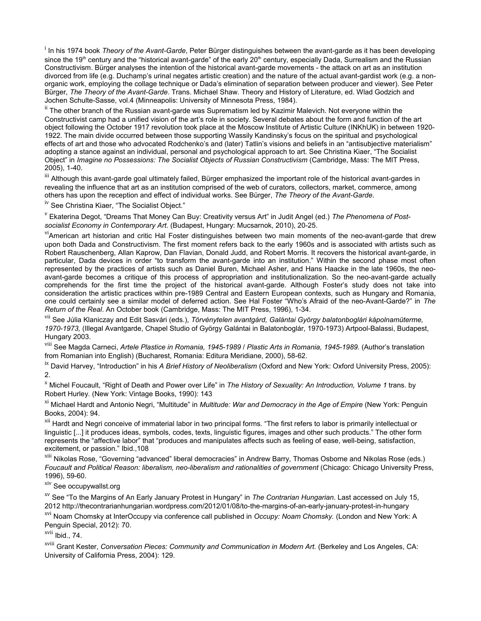<sup>i</sup> In his 1974 book *Theory of the Avant-Garde*, Peter Bürger distinguishes between the avant-garde as it has been developing since the 19<sup>th</sup> century and the "historical avant-garde" of the early 20<sup>th</sup> century, especially Dada, Surrealism and the Russian Constructivism. Bürger analyses the intention of the historical avant-garde movements - the attack on art as an institution divorced from life (e.g. Duchamp's urinal negates artistic creation) and the nature of the actual avant-gardist work (e.g. a nonorganic work, employing the collage technique or Dada's elimination of separation between producer and viewer). See Peter Bürger, *The Theory of the Avant-Garde*. Trans. Michael Shaw. Theory and History of Literature, ed. Wlad Godzich and Jochen Schulte-Sasse, vol.4 (Minneapolis: University of Minnesota Press, 1984).

 $^{\rm ii}$  The other branch of the Russian avant-garde was Suprematism led by Kazimir Malevich. Not everyone within the Constructivist camp had a unified vision of the art's role in society. Several debates about the form and function of the art object following the October 1917 revolution took place at the Moscow Institute of Artistic Culture (INKhUK) in between 1920- 1922. The main divide occurred between those supporting Wassily Kandinsky's focus on the spiritual and psychological effects of art and those who advocated Rodchenko's and (later) Tatlin's visions and beliefs in an "antisubjective materialism" adopting a stance against an individual, personal and psychological approach to art. See Christina Kiaer, "The Socialist Object" in *Imagine no Possessions: The Socialist Objects of Russian Constructivism* (Cambridge, Mass: The MIT Press, 2005), 1-40.

 $^{\rm{iii}}$  Although this avant-garde goal ultimately failed, Bürger emphasized the important role of the historical avant-gardes in revealing the influence that art as an institution comprised of the web of curators, collectors, market, commerce, among others has upon the reception and effect of individual works. See Bürger, *The Theory of the Avant-Garde*.

<sup>iv</sup> See Christina Kiaer, "The Socialist Object."

v Ekaterina Degot, "Dreams That Money Can Buy: Creativity versus Art" in Judit Angel (ed.) *The Phenomena of Postsocialist Economy in Contemporary Art*. (Budapest, Hungary: Mucsarnok, 2010), 20-25.

<sup>vi</sup>American art historian and critic Hal Foster distinguishes between two main moments of the neo-avant-garde that drew upon both Dada and Constructivism. The first moment refers back to the early 1960s and is associated with artists such as Robert Rauschenberg, Allan Kaprow, Dan Flavian, Donald Judd, and Robert Morris. It recovers the historical avant-garde, in particular, Dada devices in order "to transform the avant-garde into an institution." Within the second phase most often represented by the practices of artists such as Daniel Buren, Michael Asher, and Hans Haacke in the late 1960s, the neoavant-garde becomes a critique of this process of appropriation and institutionalization. So the neo-avant-garde actually comprehends for the first time the project of the historical avant-garde. Although Foster's study does not take into consideration the artistic practices within pre-1989 Central and Eastern European contexts, such as Hungary and Romania, one could certainly see a similar model of deferred action. See Hal Foster "Who's Afraid of the neo-Avant-Garde?" in *The Return of the Real*. An October book (Cambridge, Mass: The MIT Press, 1996), 1-34.

<sup>vii</sup> See Júlia Klaniczay and Edit Sasvári (eds.), *Törvénytelen avantgárd, Galántai György balatonboglári kápolnamüterme, 1970-1973,* (Illegal Avantgarde, Chapel Studio of György Galántai in Balatonboglár, 1970-1973) Artpool-Balassi, Budapest, Hungary 2003.

viii See Magda Carneci, *Artele Plastice in Romania, 1945-1989* / *Plastic Arts in Romania, 1945-1989.* (Author's translation from Romanian into English) (Bucharest, Romania: Editura Meridiane, 2000), 58-62.

ix David Harvey, "Introduction" in his *A Brief History of Neoliberalism* (Oxford and New York: Oxford University Press, 2005): 2.

<sup>x</sup> Michel Foucault, "Right of Death and Power over Life" in *The History of Sexuality: An Introduction, Volume 1* trans. by Robert Hurley. (New York: Vintage Books, 1990): 143

xi Michael Hardt and Antonio Negri, "Multitude" in *Multitude: War and Democracy in the Age of Empire* (New York: Penguin Books, 2004): 94.

xii Hardt and Negri conceive of immaterial labor in two principal forms. "The first refers to labor is primarily intellectual or linguistic [...] it produces ideas, symbols, codes, texts, linguistic figures, images and other such products." The other form represents the "affective labor" that "produces and manipulates affects such as feeling of ease, well-being, satisfaction, excitement, or passion." Ibid.,108

<sup>xiii</sup> Nikolas Rose, "Governing "advanced" liberal democracies" in Andrew Barry, Thomas Osborne and Nikolas Rose (eds.) *Foucault and Political Reason: liberalism, neo-liberalism and rationalities of government* (Chicago: Chicago University Press, 1996), 59-60.

xiv See occupywallst.org

xv See "To the Margins of An Early January Protest in Hungary" in *The Contrarian Hungarian*. Last accessed on July 15, 2012 http://thecontrarianhungarian.wordpress.com/2012/01/08/to-the-margins-of-an-early-january-protest-in-hungary

xvi Noam Chomsky at InterOccupy via conference call published in *Occupy: Noam Chomsky.* (London and New York: A Penguin Special, 2012): 70.

 $xvii$  Ibid., 74.

xviii Grant Kester, *Conversation Pieces: Community and Communication in Modern Art.* (Berkeley and Los Angeles, CA: University of California Press, 2004): 129.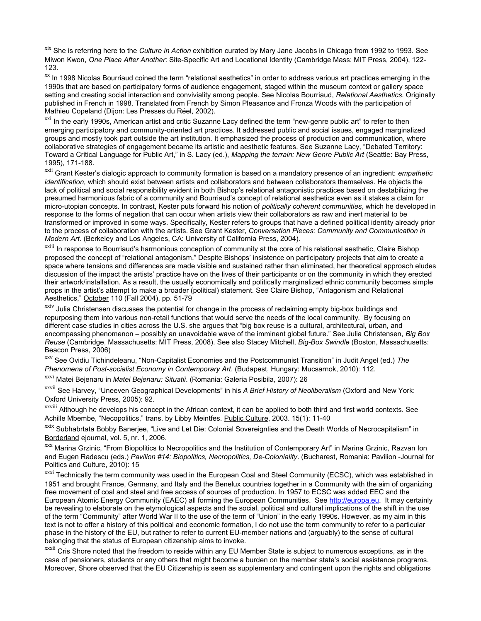xix She is referring here to the *Culture in Action* exhibition curated by Mary Jane Jacobs in Chicago from 1992 to 1993. See Miwon Kwon, *One Place After Another*: Site-Specific Art and Locational Identity (Cambridge Mass: MIT Press, 2004), 122- 123.

<sup>xx</sup> In 1998 Nicolas Bourriaud coined the term "relational aesthetics" in order to address various art practices emerging in the 1990s that are based on participatory forms of audience engagement, staged within the museum context or gallery space setting and creating social interaction and conviviality among people. See Nicolas Bourriaud, *Relational Aesthetics*. Originally published in French in 1998. Translated from French by Simon Pleasance and Fronza Woods with the participation of Mathieu Copeland (Dijon: Les Presses du Réel, 2002).

<sup>xxi</sup> In the early 1990s, American artist and critic Suzanne Lacy defined the term "new-genre public art" to refer to then emerging participatory and community-oriented art practices. It addressed public and social issues, engaged marginalized groups and mostly took part outside the art institution. It emphasized the process of production and communication, where collaborative strategies of engagement became its artistic and aesthetic features. See Suzanne Lacy, "Debated Territory: Toward a Critical Language for Public Art," in S. Lacy (ed.), *Mapping the terrain: New Genre Public Art* (Seattle: Bay Press, 1995), 171-188.

xxii Grant Kester's dialogic approach to community formation is based on a mandatory presence of an ingredient: *empathetic identification,* which should exist between artists and collaborators and between collaborators themselves. He objects the lack of political and social responsibility evident in both Bishop's relational antagonistic practices based on destabilizing the presumed harmonious fabric of a community and Bourriaud's concept of relational aesthetics even as it stakes a claim for micro-utopian concepts. In contrast, Kester puts forward his notion of *politically coherent communities*, which he developed in response to the forms of negation that can occur when artists view their collaborators as raw and inert material to be transformed or improved in some ways. Specifically, Kester refers to groups that have a defined political identity already prior to the process of collaboration with the artists. See Grant Kester, *Conversation Pieces: Community and Communication in Modern Art.* (Berkeley and Los Angeles, CA: University of California Press, 2004).

<sup>xxiii</sup> In response to Bourriaud's harmonious conception of community at the core of his relational aesthetic, Claire Bishop proposed the concept of "relational antagonism." Despite Bishops' insistence on participatory projects that aim to create a space where tensions and differences are made visible and sustained rather than eliminated, her theoretical approach eludes discussion of the impact the artists' practice have on the lives of their participants or on the community in which they erected their artwork/installation. As a result, the usually economically and politically marginalized ethnic community becomes simple props in the artist's attempt to make a broader (political) statement. See Claire Bishop, "Antagonism and Relational Aesthetics," October 110 (Fall 2004), pp. 51-79

<sup>xxiv</sup> Julia Christensen discusses the potential for change in the process of reclaiming empty big-box buildings and repurposing them into various non-retail functions that would serve the needs of the local community. By focusing on different case studies in cities across the U.S. she argues that "big box reuse is a cultural, architectural, urban, and encompassing phenomenon – possibly an unavoidable wave of the imminent global future." See Julia Christensen, *Big Box Reuse* (Cambridge, Massachusetts: MIT Press, 2008). See also Stacey Mitchell, *Big-Box Swindle* (Boston, Massachusetts: Beacon Press, 2006)

xxv See Ovidiu Tichindeleanu, "Non-Capitalist Economies and the Postcommunist Transition" in Judit Angel (ed.) *The Phenomena of Post-socialist Economy in Contemporary Art*. (Budapest, Hungary: Mucsarnok, 2010): 112.

xxvi Matei Bejenaru in *Matei Bejenaru: Situatii*. (Romania: Galeria Posibila, 2007): 26

xxvii See Harvey, "Uneeven Geographical Developments" in his *A Brief History of Neoliberalism* (Oxford and New York: Oxford University Press, 2005): 92.

xxviii Although he develops his concept in the African context, it can be applied to both third and first world contexts. See Achille Mbembe, "Necopolitics," trans. by Libby Meintfes. Public Culture, 2003. 15(1): 11-40

xxix Subhabrtata Bobby Banerjee, "Live and Let Die: Colonial Sovereignties and the Death Worlds of Necrocapitalism" in Borderland ejournal, vol. 5, nr. 1, 2006.

xxx Marina Grzinic, "From Biopolitics to Necropolitics and the Institution of Contemporary Art" in Marina Grzinic, Razvan Ion and Eugen Radescu (eds.) *Pavilion #14: Biopolitics, Necropolitics, De-Coloniality*. (Bucharest, Romania: Pavilion -Journal for Politics and Culture, 2010): 15

<sup>xxxi</sup> Technically the term community was used in the European Coal and Steel Community (ECSC), which was established in 1951 and brought France, Germany, and Italy and the Benelux countries together in a Community with the aim of organizing free movement of coal and steel and free access of sources of production. In 1957 to ECSC was added EEC and the European Atomic Energy Community (EAEC) all forming the European Communities. See [http://europa.eu.](http://europa.eu/) It may certainly be revealing to elaborate on the etymological aspects and the social, political and cultural implications of the shift in the use of the term "Community" after World War II to the use of the term of "Union" in the early 1990s. However, as my aim in this text is not to offer a history of this political and economic formation, I do not use the term community to refer to a particular phase in the history of the EU, but rather to refer to current EU-member nations and (arguably) to the sense of cultural belonging that the status of European citizenship aims to invoke.

xxxii Cris Shore noted that the freedom to reside within any EU Member State is subject to numerous exceptions, as in the case of pensioners, students or any others that might become a burden on the member state's social assistance programs. Moreover, Shore observed that the EU Citizenship is seen as supplementary and contingent upon the rights and obligations